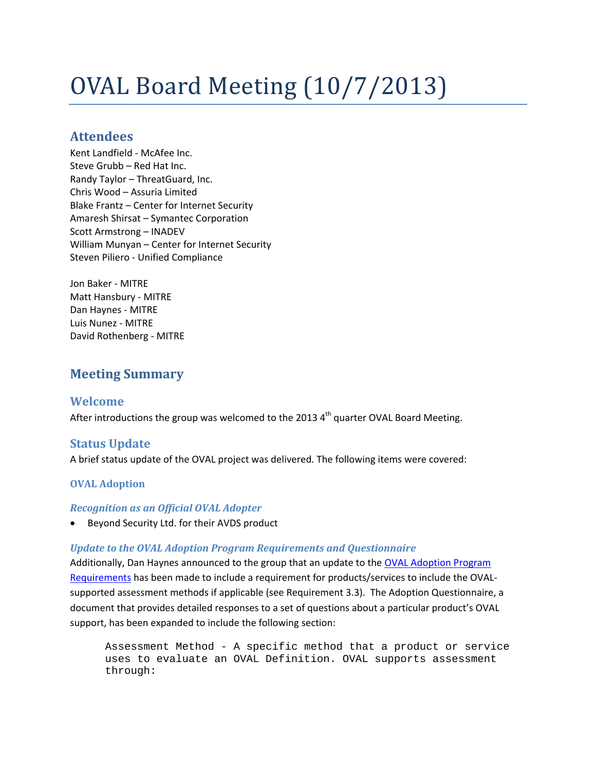# OVAL Board Meeting (10/7/2013)

# **Attendees**

Kent Landfield - McAfee Inc. Steve Grubb – Red Hat Inc. Randy Taylor – ThreatGuard, Inc. Chris Wood – Assuria Limited Blake Frantz – Center for Internet Security Amaresh Shirsat – Symantec Corporation Scott Armstrong – INADEV William Munyan – Center for Internet Security Steven Piliero - Unified Compliance

Jon Baker - MITRE Matt Hansbury - MITRE Dan Haynes - MITRE Luis Nunez - MITRE David Rothenberg - MITRE

# **Meeting Summary**

## **Welcome**

After introductions the group was welcomed to the 2013  $4<sup>th</sup>$  quarter OVAL Board Meeting.

# **Status Update**

A brief status update of the OVAL project was delivered. The following items were covered:

#### **OVAL Adoption**

#### *Recognition as an Official OVAL Adopter*

• Beyond Security Ltd. for their AVDS product

#### *Update to the OVAL Adoption Program Requirements and Questionnaire*

Additionally, Dan Haynes announced to the group that an update to the [OVAL Adoption Program](http://oval.mitre.org/adoption/requirements.html)  [Requirements](http://oval.mitre.org/adoption/requirements.html) has been made to include a requirement for products/services to include the OVALsupported assessment methods if applicable (see Requirement 3.3). The Adoption Questionnaire, a document that provides detailed responses to a set of questions about a particular product's OVAL support, has been expanded to include the following section:

Assessment Method - A specific method that a product or service uses to evaluate an OVAL Definition. OVAL supports assessment through: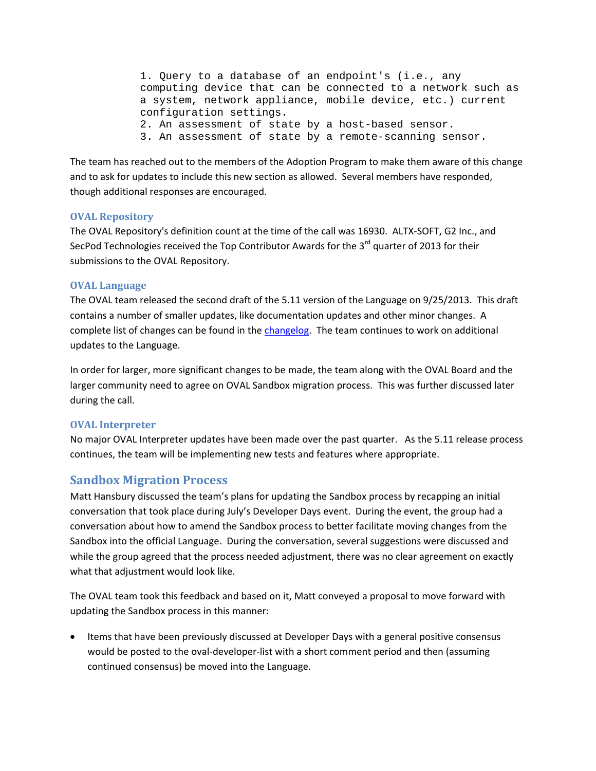1. Query to a database of an endpoint's (i.e., any computing device that can be connected to a network such as a system, network appliance, mobile device, etc.) current configuration settings. 2. An assessment of state by a host-based sensor. 3. An assessment of state by a remote-scanning sensor.

The team has reached out to the members of the Adoption Program to make them aware of this change and to ask for updates to include this new section as allowed. Several members have responded, though additional responses are encouraged.

#### **OVAL Repository**

The OVAL Repository's definition count at the time of the call was 16930. ALTX-SOFT, G2 Inc., and SecPod Technologies received the Top Contributor Awards for the 3<sup>rd</sup> quarter of 2013 for their submissions to the OVAL Repository.

#### **OVAL Language**

The OVAL team released the second draft of the 5.11 version of the Language on 9/25/2013. This draft contains a number of smaller updates, like documentation updates and other minor changes. A complete list of changes can be found in the [changelog.](http://oval.mitre.org/language/version5.11/changelog.txt) The team continues to work on additional updates to the Language.

In order for larger, more significant changes to be made, the team along with the OVAL Board and the larger community need to agree on OVAL Sandbox migration process. This was further discussed later during the call.

#### **OVAL Interpreter**

No major OVAL Interpreter updates have been made over the past quarter. As the 5.11 release process continues, the team will be implementing new tests and features where appropriate.

## **Sandbox Migration Process**

Matt Hansbury discussed the team's plans for updating the Sandbox process by recapping an initial conversation that took place during July's Developer Days event. During the event, the group had a conversation about how to amend the Sandbox process to better facilitate moving changes from the Sandbox into the official Language. During the conversation, several suggestions were discussed and while the group agreed that the process needed adjustment, there was no clear agreement on exactly what that adjustment would look like.

The OVAL team took this feedback and based on it, Matt conveyed a proposal to move forward with updating the Sandbox process in this manner:

• Items that have been previously discussed at Developer Days with a general positive consensus would be posted to the oval-developer-list with a short comment period and then (assuming continued consensus) be moved into the Language.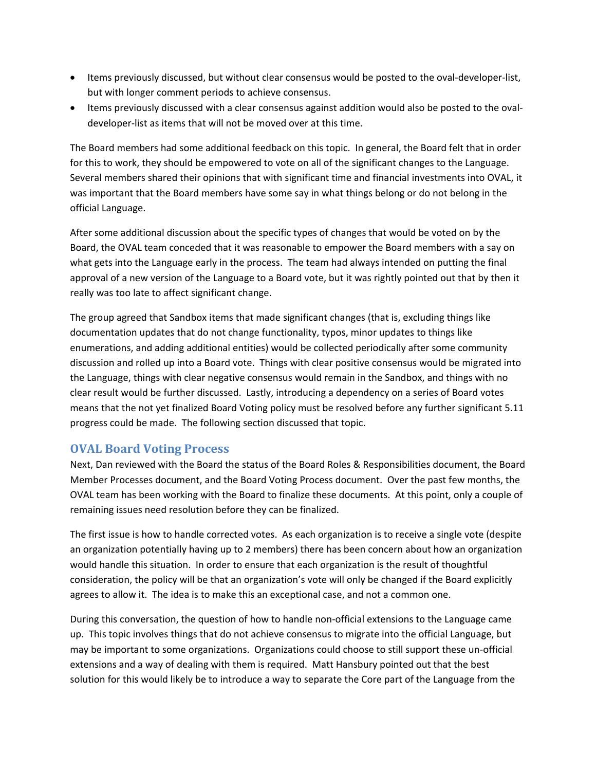- Items previously discussed, but without clear consensus would be posted to the oval-developer-list, but with longer comment periods to achieve consensus.
- Items previously discussed with a clear consensus against addition would also be posted to the ovaldeveloper-list as items that will not be moved over at this time.

The Board members had some additional feedback on this topic. In general, the Board felt that in order for this to work, they should be empowered to vote on all of the significant changes to the Language. Several members shared their opinions that with significant time and financial investments into OVAL, it was important that the Board members have some say in what things belong or do not belong in the official Language.

After some additional discussion about the specific types of changes that would be voted on by the Board, the OVAL team conceded that it was reasonable to empower the Board members with a say on what gets into the Language early in the process. The team had always intended on putting the final approval of a new version of the Language to a Board vote, but it was rightly pointed out that by then it really was too late to affect significant change.

The group agreed that Sandbox items that made significant changes (that is, excluding things like documentation updates that do not change functionality, typos, minor updates to things like enumerations, and adding additional entities) would be collected periodically after some community discussion and rolled up into a Board vote. Things with clear positive consensus would be migrated into the Language, things with clear negative consensus would remain in the Sandbox, and things with no clear result would be further discussed. Lastly, introducing a dependency on a series of Board votes means that the not yet finalized Board Voting policy must be resolved before any further significant 5.11 progress could be made. The following section discussed that topic.

# **OVAL Board Voting Process**

Next, Dan reviewed with the Board the status of the Board Roles & Responsibilities document, the Board Member Processes document, and the Board Voting Process document. Over the past few months, the OVAL team has been working with the Board to finalize these documents. At this point, only a couple of remaining issues need resolution before they can be finalized.

The first issue is how to handle corrected votes. As each organization is to receive a single vote (despite an organization potentially having up to 2 members) there has been concern about how an organization would handle this situation. In order to ensure that each organization is the result of thoughtful consideration, the policy will be that an organization's vote will only be changed if the Board explicitly agrees to allow it. The idea is to make this an exceptional case, and not a common one.

During this conversation, the question of how to handle non-official extensions to the Language came up. This topic involves things that do not achieve consensus to migrate into the official Language, but may be important to some organizations. Organizations could choose to still support these un-official extensions and a way of dealing with them is required. Matt Hansbury pointed out that the best solution for this would likely be to introduce a way to separate the Core part of the Language from the